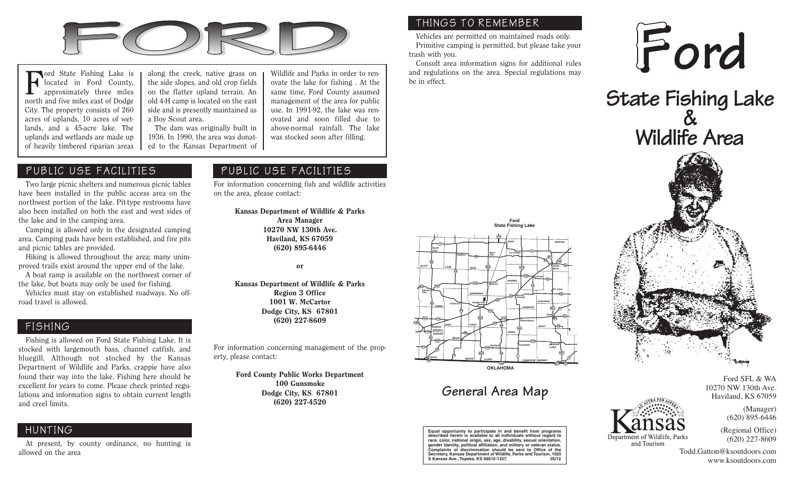

Ford State Fishing Lake is located in Ford County, approximately three miles north and five miles east of Dodge City. The property consists of 260 acres of uplands, 10 acres of wetlands, and a 45-acre lake. The uplands and wetlands are made up of heavily timbered riparian areas

along the creek, native grass on the side slopes, and old crop fields on the flatter upland terrain. An old 4-H camp is located on the east side and is presently maintained as a Boy Scout area.

The dam was originally built in 1936. In 1990, the area was donated to the Kansas Department of

#### PUBLIC USE FACILITIES

Two large picnic shelters and numerous picnic tables have been installed in the public access area on the northwest portion of the lake. Pit-type restrooms have also been installed on both the east and west sides of the lake and in the camping area.

Camping is allowed only in the designated camping area. Camping pads have been established, and fire pits and picnic tables are provided.

Hiking is allowed throughout the area; many unimproved trails exist around the upper end of the lake.

A boat ramp is available on the northwest corner of the lake, but boats may only be used for fishing.

Vehicles must stay on established roadways. No offroad travel is allowed.

#### FISHING

Fishing is allowed on Ford State Fishing Lake. It is stocked with largemouth bass, channel catfish, and bluegill. Although not stocked by the Kansas Department of Wildlife and Parks, crappie have also found their way into the lake. Fishing here should be excellent for years to come. Please check printed regulations and information signs to obtain current length and creel limits.

### HUNTING

At present, by county ordinance, no hunting is allowed on the area

#### Wildlife and Parks in order to renovate the lake for fishing . At the same time, Ford County assumed management of the area for public use. In 1991-92, the lake was renovated and soon filled due to above-normal rainfall. The lake was stocked soon after filling.

#### PUBLIC USE FACILITIES

For information concerning fish and wildlife activities on the area, please contact:

> Kansas Department of Wildlife & Parks Area Manager 10270 NW 130th Ave. Haviland, KS 67059 (620) 895-6446

> > or

Kansas Department of Wildlife & Parks Region 3 Office 1001 W. McCartor Dodge City, KS 67801 (620) 227-8609

For information concerning management of the property, please contact:

> Ford County Public Works Department 100 Gunsmoke Dodge City, KS 67801 (620) 227-4520

#### THINGS TO REMEMBER

Vehicles are permitted on maintained roads only. Primitive camping is permitted, but please take your trash with you.

Consult area information signs for additional rules and regulations on the area. Special regulations may be in effect.







10270 NW 130th Ave. Department of Wildlife, Parks

and Tourism

(Regional Office) (620) 227-8609

Ford SFL & WA

(Manager) (620) 895-6446

Haviland, KS 67059

Todd.Gatton@ksoutdoors.com www.ksoutdoors.com



## **General Area Map**

**Equal opportunity to participate in and benefit from programs described herein is available to all individuals without regard to** race, color, national origin, sex, age, disability, sexual orier **gender identity, political affiliation, and military or veteran status. Complaints of discrimination should be sent to Office of the Secretary, Kansas Department of Wildlife, Parks and Tourism, 1020 S Kansas Ave., Topeka, KS 66612-1327. 05/12**